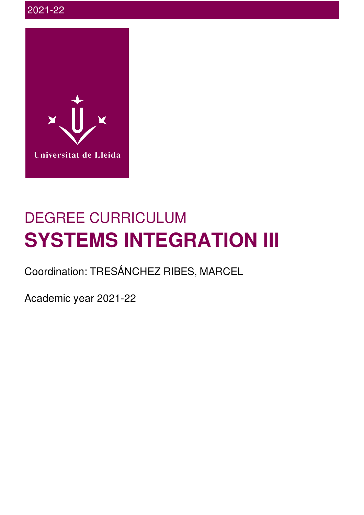

# DEGREE CURRICULUM **SYSTEMS INTEGRATION III**

## Coordination: TRESÁNCHEZ RIBES, MARCEL

Academic year 2021-22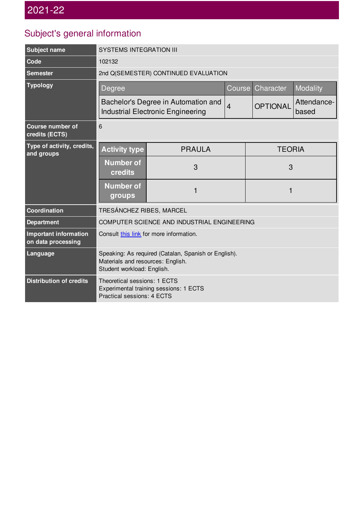# Subject's general information

| <b>Subject name</b>                                | <b>SYSTEMS INTEGRATION III</b>                                                                                          |                                                                                 |                |                                         |  |  |  |  |
|----------------------------------------------------|-------------------------------------------------------------------------------------------------------------------------|---------------------------------------------------------------------------------|----------------|-----------------------------------------|--|--|--|--|
| Code                                               | 102132                                                                                                                  |                                                                                 |                |                                         |  |  |  |  |
| <b>Semester</b>                                    | 2nd Q(SEMESTER) CONTINUED EVALUATION                                                                                    |                                                                                 |                |                                         |  |  |  |  |
| <b>Typology</b>                                    | Degree                                                                                                                  | Course                                                                          | Character      | <b>Modality</b>                         |  |  |  |  |
|                                                    |                                                                                                                         | Bachelor's Degree in Automation and<br><b>Industrial Electronic Engineering</b> | $\overline{4}$ | Attendance-<br><b>OPTIONAL</b><br>based |  |  |  |  |
| Course number of<br>credits (ECTS)                 | 6                                                                                                                       |                                                                                 |                |                                         |  |  |  |  |
| Type of activity, credits,<br>and groups           | <b>Activity type</b>                                                                                                    | <b>PRAULA</b>                                                                   |                | <b>TEORIA</b>                           |  |  |  |  |
|                                                    | <b>Number of</b><br><b>credits</b>                                                                                      | 3                                                                               |                | 3                                       |  |  |  |  |
| <b>Number of</b><br>groups                         |                                                                                                                         | 1                                                                               |                | 1                                       |  |  |  |  |
| Coordination                                       | TRESÁNCHEZ RIBES, MARCEL                                                                                                |                                                                                 |                |                                         |  |  |  |  |
| <b>Department</b>                                  | COMPUTER SCIENCE AND INDUSTRIAL ENGINEERING                                                                             |                                                                                 |                |                                         |  |  |  |  |
| <b>Important information</b><br>on data processing | Consult this link for more information.                                                                                 |                                                                                 |                |                                         |  |  |  |  |
| Language                                           | Speaking: As required (Catalan, Spanish or English).<br>Materials and resources: English.<br>Student workload: English. |                                                                                 |                |                                         |  |  |  |  |
| <b>Distribution of credits</b>                     | Theoretical sessions: 1 ECTS<br>Experimental training sessions: 1 ECTS<br>Practical sessions: 4 ECTS                    |                                                                                 |                |                                         |  |  |  |  |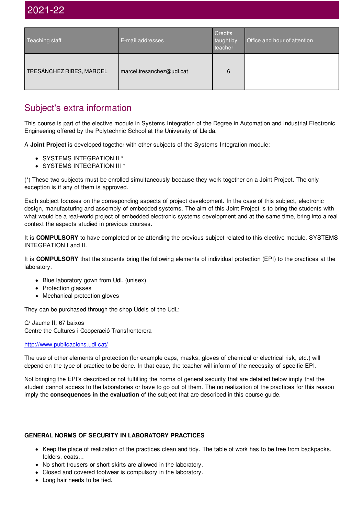| Teaching staff           | E-mail addresses          | <b>Credits</b><br>taught by<br>teacher | Office and hour of attention |
|--------------------------|---------------------------|----------------------------------------|------------------------------|
| TRESÁNCHEZ RIBES, MARCEL | marcel.tresanchez@udl.cat | 6                                      |                              |

### Subject's extra information

This course is part of the elective module in Systems Integration of the Degree in Automation and Industrial Electronic Engineering offered by the Polytechnic School at the University of Lleida.

A **Joint Project** is developed together with other subjects of the Systems Integration module:

- SYSTEMS INTEGRATION II \*
- SYSTEMS INTEGRATION III \*

(\*) These two subjects must be enrolled simultaneously because they work together on a Joint Project. The only exception is if any of them is approved.

Each subject focuses on the corresponding aspects of project development. In the case of this subject, electronic design, manufacturing and assembly of embedded systems. The aim of this Joint Project is to bring the students with what would be a real-world project of embedded electronic systems development and at the same time, bring into a real context the aspects studied in previous courses.

It is **COMPULSORY** to have completed or be attending the previous subject related to this elective module, SYSTEMS INTEGRATION I and II.

It is **COMPULSORY** that the students bring the following elements of individual protection (EPI) to the practices at the laboratory.

- Blue laboratory gown from UdL (unisex)
- Protection glasses
- Mechanical protection gloves

They can be purchased through the shop Údels of the UdL:

C/ Jaume II, 67 baixos Centre the Cultures i Cooperació Transfronterera

#### <http://www.publicacions.udl.cat/>

The use of other elements of protection (for example caps, masks, gloves of chemical or electrical risk, etc.) will depend on the type of practice to be done. In that case, the teacher will inform of the necessity of specific EPI.

Not bringing the EPI's described or not fulfilling the norms of general security that are detailed below imply that the student cannot access to the laboratories or have to go out of them. The no realization of the practices for this reason imply the **consequences in the evaluation** of the subject that are described in this course guide.

#### **GENERAL NORMS OF SECURITY IN LABORATORY PRACTICES**

- Keep the place of realization of the practices clean and tidy. The table of work has to be free from backpacks, folders, coats...
- No short trousers or short skirts are allowed in the laboratory.
- Closed and covered footwear is compulsory in the laboratory.
- Long hair needs to be tied.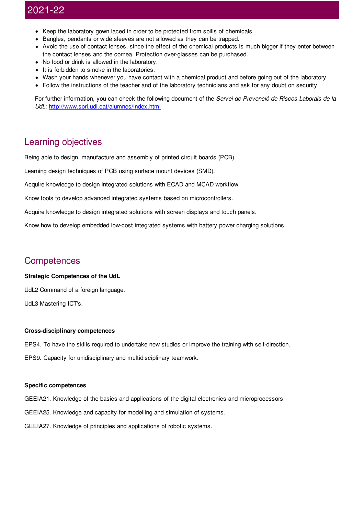- Keep the laboratory gown laced in order to be protected from spills of chemicals.
- Bangles, pendants or wide sleeves are not allowed as they can be trapped.
- Avoid the use of contact lenses, since the effect of the chemical products is much bigger if they enter between the contact lenses and the cornea. Protection over-glasses can be purchased.
- No food or drink is allowed in the laboratory.
- $\bullet$  It is forbidden to smoke in the laboratories.
- Wash your hands whenever you have contact with a chemical product and before going out of the laboratory.
- Follow the instructions of the teacher and of the laboratory technicians and ask for any doubt on security.

For further information, you can check the following document of the *Servei de Prevenció de Riscos Laborals de la UdL*: <http://www.sprl.udl.cat/alumnes/index.html>

### Learning objectives

Being able to design, manufacture and assembly of printed circuit boards (PCB).

Learning design techniques of PCB using surface mount devices (SMD).

Acquire knowledge to design integrated solutions with ECAD and MCAD workflow.

Know tools to develop advanced integrated systems based on microcontrollers.

Acquire knowledge to design integrated solutions with screen displays and touch panels.

Know how to develop embedded low-cost integrated systems with battery power charging solutions.

### **Competences**

#### **Strategic Competences of the UdL**

UdL2 Command of a foreign language.

UdL3 Mastering ICT's.

#### **Cross-disciplinary competences**

EPS4. To have the skills required to undertake new studies or improve the training with self-direction.

EPS9. Capacity for unidisciplinary and multidisciplinary teamwork.

#### **Specific competences**

GEEIA21. Knowledge of the basics and applications of the digital electronics and microprocessors.

GEEIA25. Knowledge and capacity for modelling and simulation of systems.

GEEIA27. Knowledge of principles and applications of robotic systems.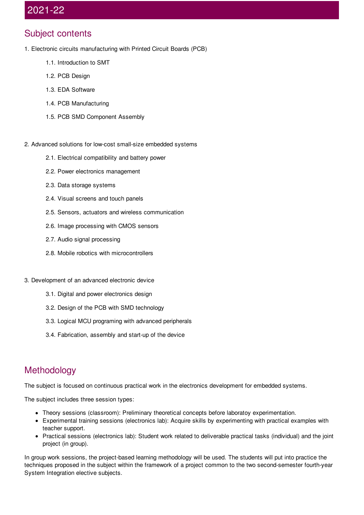### Subject contents

- 1. Electronic circuits manufacturing with Printed Circuit Boards (PCB)
	- 1.1. Introduction to SMT
	- 1.2. PCB Design
	- 1.3. EDA Software
	- 1.4. PCB Manufacturing
	- 1.5. PCB SMD Component Assembly
- 2. Advanced solutions for low-cost small-size embedded systems
	- 2.1. Electrical compatibility and battery power
	- 2.2. Power electronics management
	- 2.3. Data storage systems
	- 2.4. Visual screens and touch panels
	- 2.5. Sensors, actuators and wireless communication
	- 2.6. Image processing with CMOS sensors
	- 2.7. Audio signal processing
	- 2.8. Mobile robotics with microcontrollers
- 3. Development of an advanced electronic device
	- 3.1. Digital and power electronics design
	- 3.2. Design of the PCB with SMD technology
	- 3.3. Logical MCU programing with advanced peripherals
	- 3.4. Fabrication, assembly and start-up of the device

### Methodology

The subject is focused on continuous practical work in the electronics development for embedded systems.

The subject includes three session types:

- Theory sessions (classroom): Preliminary theoretical concepts before laboratoy experimentation.
- Experimental training sessions (electronics lab): Acquire skills by experimenting with practical examples with teacher support.
- Practical sessions (electronics lab): Student work related to deliverable practical tasks (individual) and the joint project (in group).

In group work sessions, the project-based learning methodology will be used. The students will put into practice the techniques proposed in the subject within the framework of a project common to the two second-semester fourth-year System Integration elective subjects.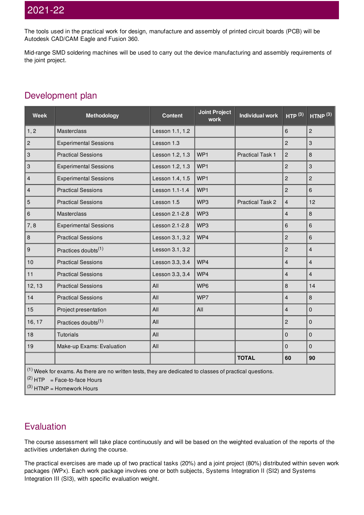The tools used in the practical work for design, manufacture and assembly of printed circuit boards (PCB) will be Autodesk CAD/CAM Eagle and Fusion 360.

Mid-range SMD soldering machines will be used to carry out the device manufacturing and assembly requirements of the joint project.

### Development plan

| <b>Week</b>                                                                                               | Methodology                     | <b>Content</b>  | <b>Joint Project</b><br>work | <b>Individual work</b>  | HTP <sup>(3)</sup> | HTNP $(3)$     |  |  |
|-----------------------------------------------------------------------------------------------------------|---------------------------------|-----------------|------------------------------|-------------------------|--------------------|----------------|--|--|
| 1, 2                                                                                                      | Masterclass                     | Lesson 1.1, 1.2 |                              |                         | $6\phantom{a}$     | $\overline{c}$ |  |  |
| $\overline{c}$                                                                                            | <b>Experimental Sessions</b>    | Lesson 1.3      |                              |                         | $\overline{c}$     | 3              |  |  |
| 3                                                                                                         | <b>Practical Sessions</b>       | Lesson 1.2, 1.3 | WP1                          | <b>Practical Task 1</b> | $\overline{c}$     | 8              |  |  |
| 3                                                                                                         | <b>Experimental Sessions</b>    | Lesson 1.2, 1.3 | WP1                          |                         | $\overline{c}$     | 3              |  |  |
| $\overline{\mathbf{4}}$                                                                                   | <b>Experimental Sessions</b>    | Lesson 1.4, 1.5 | WP1                          |                         | $\overline{c}$     | $\overline{c}$ |  |  |
| 4                                                                                                         | <b>Practical Sessions</b>       | Lesson 1.1-1.4  | WP1                          |                         | $\overline{2}$     | $6\phantom{a}$ |  |  |
| 5                                                                                                         | <b>Practical Sessions</b>       | Lesson 1.5      | WP3                          | <b>Practical Task 2</b> | $\overline{4}$     | 12             |  |  |
| 6                                                                                                         | <b>Masterclass</b>              | Lesson 2.1-2.8  | WP3                          |                         | $\overline{4}$     | 8              |  |  |
| 7,8                                                                                                       | <b>Experimental Sessions</b>    | Lesson 2.1-2.8  | WP3                          |                         | 6                  | 6              |  |  |
| 8                                                                                                         | <b>Practical Sessions</b>       | Lesson 3.1, 3.2 | WP4                          |                         | $\overline{c}$     | 6              |  |  |
| 9                                                                                                         | Practices doubts <sup>(1)</sup> | Lesson 3.1, 3.2 |                              |                         | $\overline{c}$     | $\overline{4}$ |  |  |
| 10                                                                                                        | <b>Practical Sessions</b>       | Lesson 3.3, 3.4 | WP4                          |                         | $\overline{4}$     | $\overline{4}$ |  |  |
| 11                                                                                                        | <b>Practical Sessions</b>       | Lesson 3.3, 3.4 | WP4                          |                         | $\overline{4}$     | $\overline{4}$ |  |  |
| 12, 13                                                                                                    | <b>Practical Sessions</b>       | All             | WP6                          |                         | 8                  | 14             |  |  |
| 14                                                                                                        | <b>Practical Sessions</b>       | All             | WP7                          |                         | $\overline{4}$     | 8              |  |  |
| 15                                                                                                        | Project presentation            | All             | All                          |                         | $\overline{4}$     | $\mathbf 0$    |  |  |
| 16, 17                                                                                                    | Practices doubts <sup>(1)</sup> | All             |                              |                         | $\overline{2}$     | $\mathbf 0$    |  |  |
| 18                                                                                                        | <b>Tutorials</b>                | All             |                              |                         | $\Omega$           | $\mathbf 0$    |  |  |
| 19                                                                                                        | Make-up Exams: Evaluation       | All             |                              |                         | $\overline{0}$     | $\mathbf{0}$   |  |  |
|                                                                                                           |                                 |                 |                              | <b>TOTAL</b>            | 60                 | 90             |  |  |
| $(1)$ Week for exams. As there are no written tests, they are dedicated to classes of practical questions |                                 |                 |                              |                         |                    |                |  |  |

\s there are no written tests, they are dedicated to classes of practical questions.

 $(2)$  HTP = Face-to-face Hours

 $(3)$  HTNP = Homework Hours

### Evaluation

The course assessment will take place continuously and will be based on the weighted evaluation of the reports of the activities undertaken during the course.

The practical exercises are made up of two practical tasks (20%) and a joint project (80%) distributed within seven work packages (WPx). Each work package involves one or both subjects, Systems Integration II (SI2) and Systems Integration III (SI3), with specific evaluation weight.